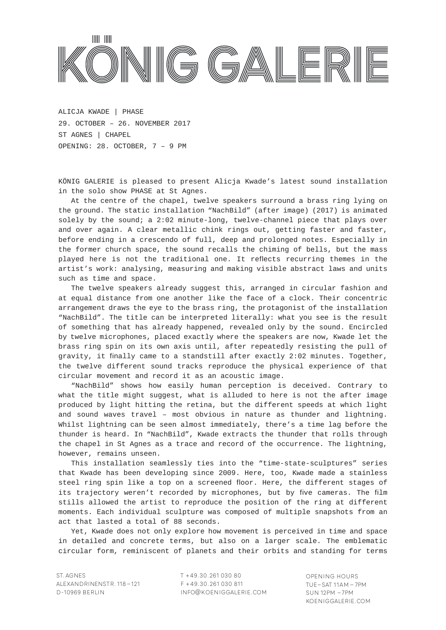

**JULIAN ROSEFELDT | IN THE LAND OF DROUGHT** ALICJA KWADE | PHASE ST AGNES | CHAPEL OPENING: 28. OCTOBER, 7 - 9 PM ERÖFFNUNG: 23. JUNI, 18-21 UHR 29. OCTOBER – 26. NOVEMBER 2017

KÖNIG GALERIE is pleased to present Alicja Kwade's latest sound installation in the solo show PHASE at St Agnes.

At the centre of the chapel, twelve speakers surround a brass ring lying on the ground. The static installation "NachBild" (after image) (2017) is animated solely by the sound; a 2:02 minute-long, twelve-channel piece that plays over before ending in a crescendo of full, deep and prolonged notes. Especially in a crescendo of full, deep and prolonged notes. Especially in the former church space, the sound recalls the chiming of bells, but the mass played here is not the traditional one. It reflects recurring themes in the artist's work: analysing, measuring and making visible abstract laws and units such as time and space. and over again. A clear metallic chink rings out, getting faster and faster,

The twelve speakers already suggest this, arranged in circular fashion and at equal distance from one another like the face of a clock. Their concentric arrangement draws the eye to the brass ring, the protagonist of the installation "NachBild". The title can be interpreted literally: what you see is the result of something that has already happened, revealed only by the sound. Encircled by twelve microphones, placed exactly where the speakers are now, Kwade let the brass ring spin on its own axis until, after repeatedly resisting the pull of gravity, it finally came to a standstill after exactly 2:02 minutes. Together, the twelve different sound tracks reproduce the physical experience of that circular movement and record it as an acoustic image.

"NachBild" shows how easily human perception is deceived. Contrary to what the title might suggest, what is alluded to here is not the after image and sound waves travel – most obvious in nature as thunder and lightning. Whilst lightning can be seen almost immediately, there's a time lag before the thunder is heard. In "NachBild", Kwade extracts the thunder that rolls through the chapel in St Agnes as a trace and record of the occurrence. The lightning, however, remains unseen. Von der himmlige der himmlige der himmlige des himmliges and warte des himmliges and produced by light hitting the retina, but the different speeds at which light

This installation seamlessly ties into the "time-state-sculptures" series that Kwade has been developing since 2009. Here, too, Kwade made a stainless steel ring spin like a top on a screened floor. Here, the different stages of its trajectory weren't recorded by microphones, but by five cameras. The film stills allowed the artist to reproduce the position of the ring at different Gestalten allowed the an Zellteilung erinnern position. Die an Zellteilung auf die an Zellteilung erinnernde moments. Each individual sculpture was composed of multiple snapshots from an members Each Individual Scalpture mas composed of maltiple enaponees from an<br>act that lasted a total of 88 seconds.

einer fusicul a form of der Succinis.<br>Yet, Kwade does not only explore how movement is perceived in time and space mitt, watervoor in detailed and concrete terms, but also on a larger scale. The emblematic circular form, reminiscent of planets and their orbits and standing for terms

T +49.30.261 030 80 F +49.30.261 030 811 INFO@KOENIGGALERIE.COM OPENING HOURS TUE–Sat 11AM– 7PM Sun 12pm –7pm KOENIGGALERIE.COM